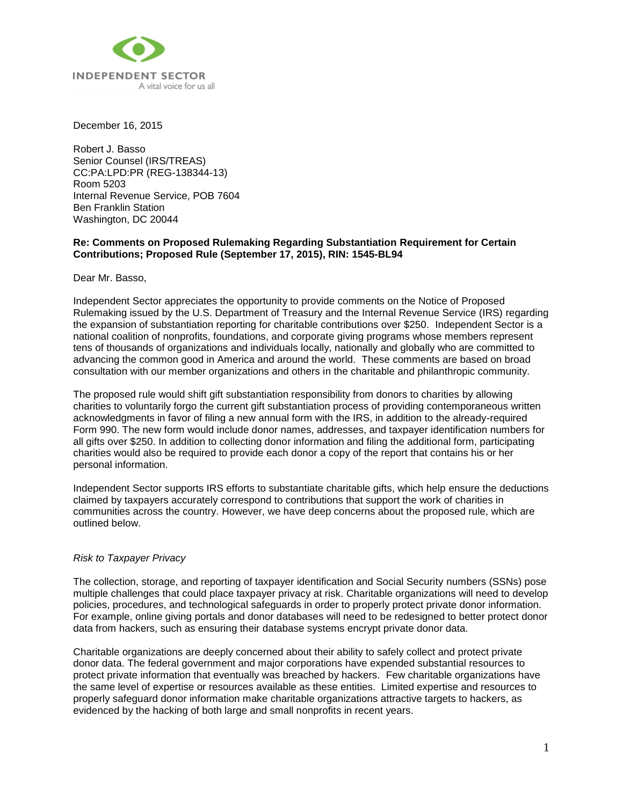

December 16, 2015

Robert J. Basso Senior Counsel (IRS/TREAS) CC:PA:LPD:PR (REG-138344-13) Room 5203 Internal Revenue Service, POB 7604 Ben Franklin Station Washington, DC 20044

# **Re: Comments on Proposed Rulemaking Regarding Substantiation Requirement for Certain Contributions; Proposed Rule (September 17, 2015), RIN: 1545-BL94**

Dear Mr. Basso,

Independent Sector appreciates the opportunity to provide comments on the Notice of Proposed Rulemaking issued by the U.S. Department of Treasury and the Internal Revenue Service (IRS) regarding the expansion of substantiation reporting for charitable contributions over \$250. Independent Sector is a national coalition of nonprofits, foundations, and corporate giving programs whose members represent tens of thousands of organizations and individuals locally, nationally and globally who are committed to advancing the common good in America and around the world. These comments are based on broad consultation with our member organizations and others in the charitable and philanthropic community.

The proposed rule would shift gift substantiation responsibility from donors to charities by allowing charities to voluntarily forgo the current gift substantiation process of providing contemporaneous written acknowledgments in favor of filing a new annual form with the IRS, in addition to the already-required Form 990. The new form would include donor names, addresses, and taxpayer identification numbers for all gifts over \$250. In addition to collecting donor information and filing the additional form, participating charities would also be required to provide each donor a copy of the report that contains his or her personal information.

Independent Sector supports IRS efforts to substantiate charitable gifts, which help ensure the deductions claimed by taxpayers accurately correspond to contributions that support the work of charities in communities across the country. However, we have deep concerns about the proposed rule, which are outlined below.

## *Risk to Taxpayer Privacy*

The collection, storage, and reporting of taxpayer identification and Social Security numbers (SSNs) pose multiple challenges that could place taxpayer privacy at risk. Charitable organizations will need to develop policies, procedures, and technological safeguards in order to properly protect private donor information. For example, online giving portals and donor databases will need to be redesigned to better protect donor data from hackers, such as ensuring their database systems encrypt private donor data.

Charitable organizations are deeply concerned about their ability to safely collect and protect private donor data. The federal government and major corporations have expended substantial resources to protect private information that eventually was breached by hackers. Few charitable organizations have the same level of expertise or resources available as these entities. Limited expertise and resources to properly safeguard donor information make charitable organizations attractive targets to hackers, as evidenced by the hacking of both large and small nonprofits in recent years.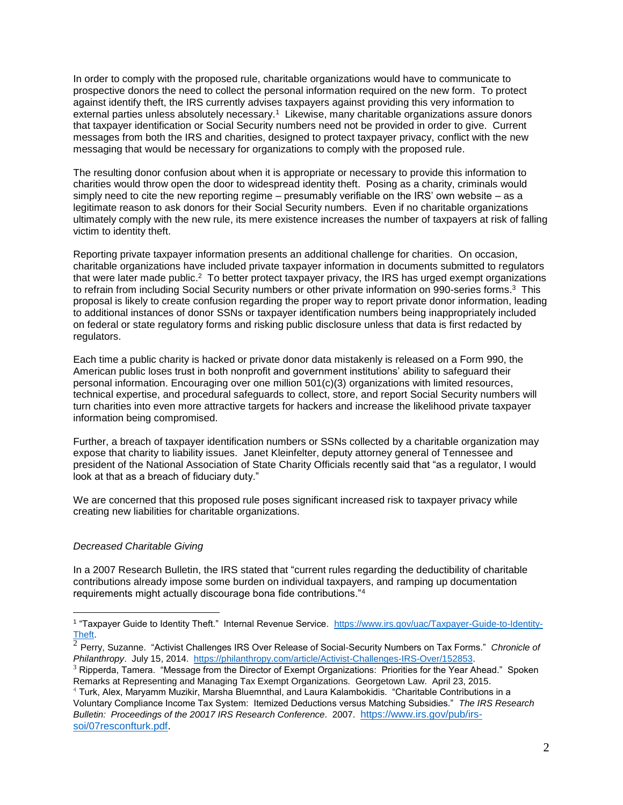In order to comply with the proposed rule, charitable organizations would have to communicate to prospective donors the need to collect the personal information required on the new form. To protect against identify theft, the IRS currently advises taxpayers against providing this very information to external parties unless absolutely necessary.<sup>1</sup> Likewise, many charitable organizations assure donors that taxpayer identification or Social Security numbers need not be provided in order to give. Current messages from both the IRS and charities, designed to protect taxpayer privacy, conflict with the new messaging that would be necessary for organizations to comply with the proposed rule.

The resulting donor confusion about when it is appropriate or necessary to provide this information to charities would throw open the door to widespread identity theft. Posing as a charity, criminals would simply need to cite the new reporting regime – presumably verifiable on the IRS' own website – as a legitimate reason to ask donors for their Social Security numbers. Even if no charitable organizations ultimately comply with the new rule, its mere existence increases the number of taxpayers at risk of falling victim to identity theft.

Reporting private taxpayer information presents an additional challenge for charities. On occasion, charitable organizations have included private taxpayer information in documents submitted to regulators that were later made public.<sup>2</sup> To better protect taxpayer privacy, the IRS has urged exempt organizations to refrain from including Social Security numbers or other private information on 990-series forms.<sup>3</sup> This proposal is likely to create confusion regarding the proper way to report private donor information, leading to additional instances of donor SSNs or taxpayer identification numbers being inappropriately included on federal or state regulatory forms and risking public disclosure unless that data is first redacted by regulators.

Each time a public charity is hacked or private donor data mistakenly is released on a Form 990, the American public loses trust in both nonprofit and government institutions' ability to safeguard their personal information. Encouraging over one million 501(c)(3) organizations with limited resources, technical expertise, and procedural safeguards to collect, store, and report Social Security numbers will turn charities into even more attractive targets for hackers and increase the likelihood private taxpayer information being compromised.

Further, a breach of taxpayer identification numbers or SSNs collected by a charitable organization may expose that charity to liability issues. Janet Kleinfelter, deputy attorney general of Tennessee and president of the National Association of State Charity Officials recently said that "as a regulator, I would look at that as a breach of fiduciary duty."

We are concerned that this proposed rule poses significant increased risk to taxpayer privacy while creating new liabilities for charitable organizations.

## *Decreased Charitable Giving*

 $\overline{a}$ 

In a 2007 Research Bulletin, the IRS stated that "current rules regarding the deductibility of charitable contributions already impose some burden on individual taxpayers, and ramping up documentation requirements might actually discourage bona fide contributions."<sup>4</sup>

<sup>&</sup>lt;sup>1</sup> "Taxpayer Guide to Identity Theft." Internal Revenue Service. [https://www.irs.gov/uac/Taxpayer-Guide-to-Identity-](https://www.irs.gov/uac/Taxpayer-Guide-to-Identity-Theft)[Theft.](https://www.irs.gov/uac/Taxpayer-Guide-to-Identity-Theft)

<sup>2</sup> Perry, Suzanne. "Activist Challenges IRS Over Release of Social-Security Numbers on Tax Forms." *Chronicle of Philanthropy*. July 15, 2014. [https://philanthropy.com/article/Activist-Challenges-IRS-Over/152853.](https://philanthropy.com/article/Activist-Challenges-IRS-Over/152853)

<sup>&</sup>lt;sup>3</sup> Ripperda, Tamera. "Message from the Director of Exempt Organizations: Priorities for the Year Ahead." Spoken Remarks at Representing and Managing Tax Exempt Organizations. Georgetown Law. April 23, 2015.

<sup>4</sup> Turk, Alex, Maryamm Muzikir, Marsha Bluemnthal, and Laura Kalambokidis. "Charitable Contributions in a Voluntary Compliance Income Tax System: Itemized Deductions versus Matching Subsidies." *The IRS Research Bulletin: Proceedings of the 20017 IRS Research Conference*. 2007. [https://www.irs.gov/pub/irs](https://www.irs.gov/pub/irs-soi/07resconfturk.pdf)[soi/07resconfturk.pdf.](https://www.irs.gov/pub/irs-soi/07resconfturk.pdf)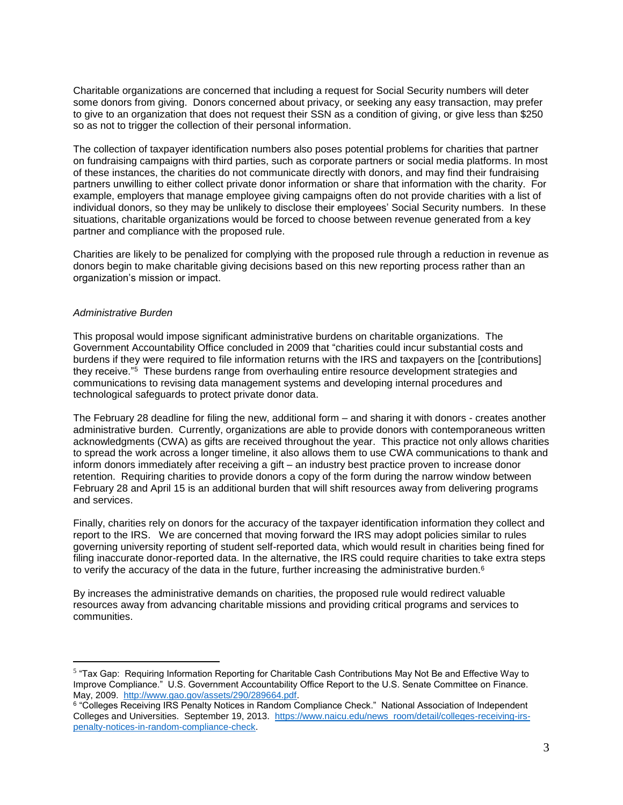Charitable organizations are concerned that including a request for Social Security numbers will deter some donors from giving. Donors concerned about privacy, or seeking any easy transaction, may prefer to give to an organization that does not request their SSN as a condition of giving, or give less than \$250 so as not to trigger the collection of their personal information.

The collection of taxpayer identification numbers also poses potential problems for charities that partner on fundraising campaigns with third parties, such as corporate partners or social media platforms. In most of these instances, the charities do not communicate directly with donors, and may find their fundraising partners unwilling to either collect private donor information or share that information with the charity. For example, employers that manage employee giving campaigns often do not provide charities with a list of individual donors, so they may be unlikely to disclose their employees' Social Security numbers. In these situations, charitable organizations would be forced to choose between revenue generated from a key partner and compliance with the proposed rule.

Charities are likely to be penalized for complying with the proposed rule through a reduction in revenue as donors begin to make charitable giving decisions based on this new reporting process rather than an organization's mission or impact.

## *Administrative Burden*

 $\overline{a}$ 

This proposal would impose significant administrative burdens on charitable organizations. The Government Accountability Office concluded in 2009 that "charities could incur substantial costs and burdens if they were required to file information returns with the IRS and taxpayers on the [contributions] they receive."<sup>5</sup> These burdens range from overhauling entire resource development strategies and communications to revising data management systems and developing internal procedures and technological safeguards to protect private donor data.

The February 28 deadline for filing the new, additional form – and sharing it with donors - creates another administrative burden. Currently, organizations are able to provide donors with contemporaneous written acknowledgments (CWA) as gifts are received throughout the year. This practice not only allows charities to spread the work across a longer timeline, it also allows them to use CWA communications to thank and inform donors immediately after receiving a gift – an industry best practice proven to increase donor retention. Requiring charities to provide donors a copy of the form during the narrow window between February 28 and April 15 is an additional burden that will shift resources away from delivering programs and services.

Finally, charities rely on donors for the accuracy of the taxpayer identification information they collect and report to the IRS. We are concerned that moving forward the IRS may adopt policies similar to rules governing university reporting of student self-reported data, which would result in charities being fined for filing inaccurate donor-reported data. In the alternative, the IRS could require charities to take extra steps to verify the accuracy of the data in the future, further increasing the administrative burden.<sup>6</sup>

By increases the administrative demands on charities, the proposed rule would redirect valuable resources away from advancing charitable missions and providing critical programs and services to communities.

<sup>&</sup>lt;sup>5</sup> "Tax Gap: Requiring Information Reporting for Charitable Cash Contributions May Not Be and Effective Way to Improve Compliance." U.S. Government Accountability Office Report to the U.S. Senate Committee on Finance. May, 2009. [http://www.gao.gov/assets/290/289664.pdf.](http://www.gao.gov/assets/290/289664.pdf)

<sup>&</sup>lt;sup>6</sup> "Colleges Receiving IRS Penalty Notices in Random Compliance Check." National Association of Independent Colleges and Universities. September 19, 2013. [https://www.naicu.edu/news\\_room/detail/colleges-receiving-irs](https://www.naicu.edu/news_room/detail/colleges-receiving-irs-penalty-notices-in-random-compliance-check)[penalty-notices-in-random-compliance-check.](https://www.naicu.edu/news_room/detail/colleges-receiving-irs-penalty-notices-in-random-compliance-check)